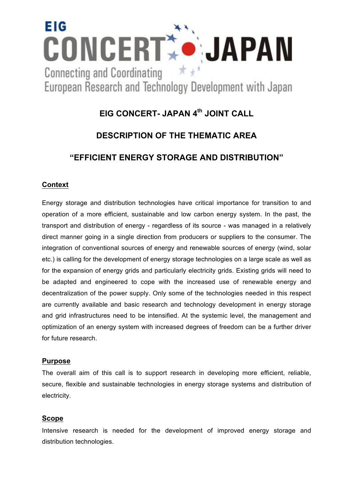

#### **EIG CONCERT- JAPAN 4th JOINT CALL**

#### **DESCRIPTION OF THE THEMATIC AREA**

#### **"EFFICIENT ENERGY STORAGE AND DISTRIBUTION"**

#### **Context**

Energy storage and distribution technologies have critical importance for transition to and operation of a more efficient, sustainable and low carbon energy system. In the past, the transport and distribution of energy - regardless of its source - was managed in a relatively direct manner going in a single direction from producers or suppliers to the consumer. The integration of conventional sources of energy and renewable sources of energy (wind, solar etc.) is calling for the development of energy storage technologies on a large scale as well as for the expansion of energy grids and particularly electricity grids. Existing grids will need to be adapted and engineered to cope with the increased use of renewable energy and decentralization of the power supply. Only some of the technologies needed in this respect are currently available and basic research and technology development in energy storage and grid infrastructures need to be intensified. At the systemic level, the management and optimization of an energy system with increased degrees of freedom can be a further driver for future research.

#### **Purpose**

The overall aim of this call is to support research in developing more efficient, reliable, secure, flexible and sustainable technologies in energy storage systems and distribution of electricity.

#### **Scope**

Intensive research is needed for the development of improved energy storage and distribution technologies.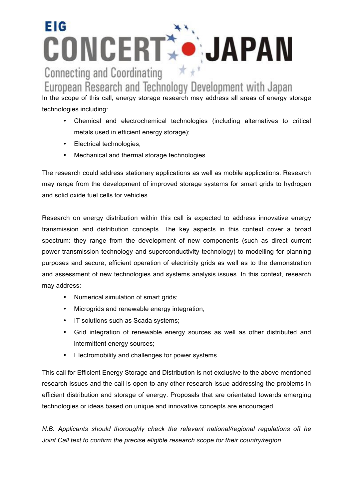### **EIG** CONCERT JAPAN  $*$ **Connecting and Coordinating**

European Research and Technology Development with Japan

In the scope of this call, energy storage research may address all areas of energy storage technologies including:

- Chemical and electrochemical technologies (including alternatives to critical metals used in efficient energy storage);
- Electrical technologies;
- Mechanical and thermal storage technologies.

The research could address stationary applications as well as mobile applications. Research may range from the development of improved storage systems for smart grids to hydrogen and solid oxide fuel cells for vehicles.

Research on energy distribution within this call is expected to address innovative energy transmission and distribution concepts. The key aspects in this context cover a broad spectrum: they range from the development of new components (such as direct current power transmission technology and superconductivity technology) to modelling for planning purposes and secure, efficient operation of electricity grids as well as to the demonstration and assessment of new technologies and systems analysis issues. In this context, research may address:

- Numerical simulation of smart grids;
- Microgrids and renewable energy integration;
- IT solutions such as Scada systems;
- Grid integration of renewable energy sources as well as other distributed and intermittent energy sources;
- Electromobility and challenges for power systems.

This call for Efficient Energy Storage and Distribution is not exclusive to the above mentioned research issues and the call is open to any other research issue addressing the problems in efficient distribution and storage of energy. Proposals that are orientated towards emerging technologies or ideas based on unique and innovative concepts are encouraged.

*N.B. Applicants should thoroughly check the relevant national/regional regulations oft he Joint Call text to confirm the precise eligible research scope for their country/region.*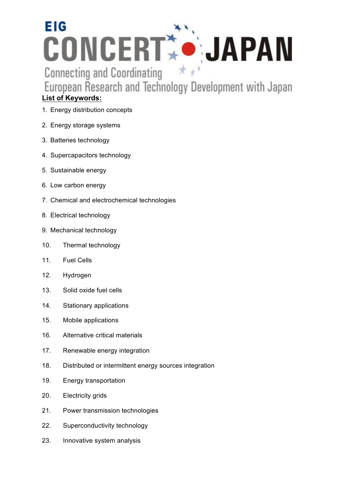## **EIG CONCERT: JAPAN**  $\star$   $\star$

**Connecting and Coordinating** 

European Research and Technology Development with Japan

#### **List of Keywords:**

- 1. Energy distribution concepts
- 2. Energy storage systems
- 3. Batteries technology
- 4. Supercapacitors technology
- 5. Sustainable energy
- 6. Low carbon energy
- 7. Chemical and electrochemical technologies
- 8. Electrical technology
- 9. Mechanical technology
- 10. Thermal technology
- 11. Fuel Cells
- 12. Hydrogen
- 13. Solid oxide fuel cells
- 14. Stationary applications
- 15. Mobile applications
- 16. Alternative critical materials
- 17. Renewable energy integration
- 18. Distributed or intermittent energy sources integration
- 19. Energy transportation
- 20. Electricity grids
- 21. Power transmission technologies
- 22. Superconductivity technology
- 23. Innovative system analysis